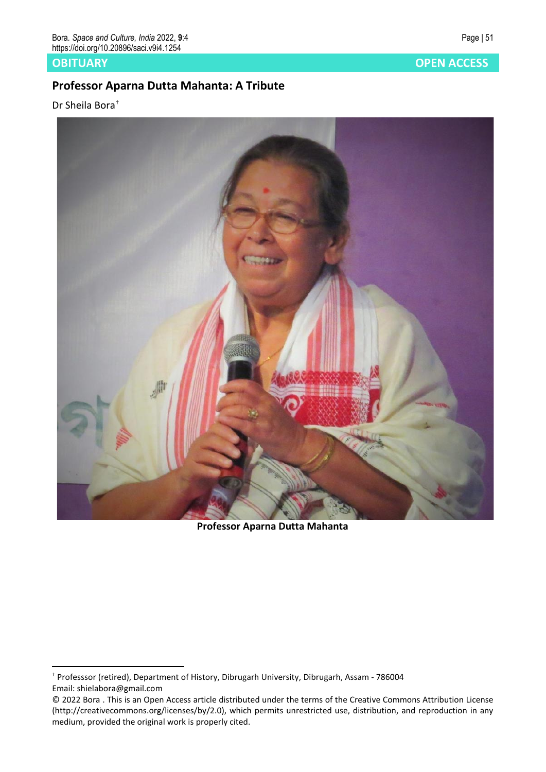## **Professor Aparna Dutta Mahanta: A Tribute**

Dr Sheila Bora†



**Professor Aparna Dutta Mahanta**

**OBITUARY OPEN ACCESS**

<sup>†</sup> Professsor (retired), Department of History, Dibrugarh University, Dibrugarh, Assam - 786004 Email: shielabora@gmail.com

<sup>© 2022</sup> Bora . This is an Open Access article distributed under the terms of the Creative Commons Attribution License (http://creativecommons.org/licenses/by/2.0), which permits unrestricted use, distribution, and reproduction in any medium, provided the original work is properly cited.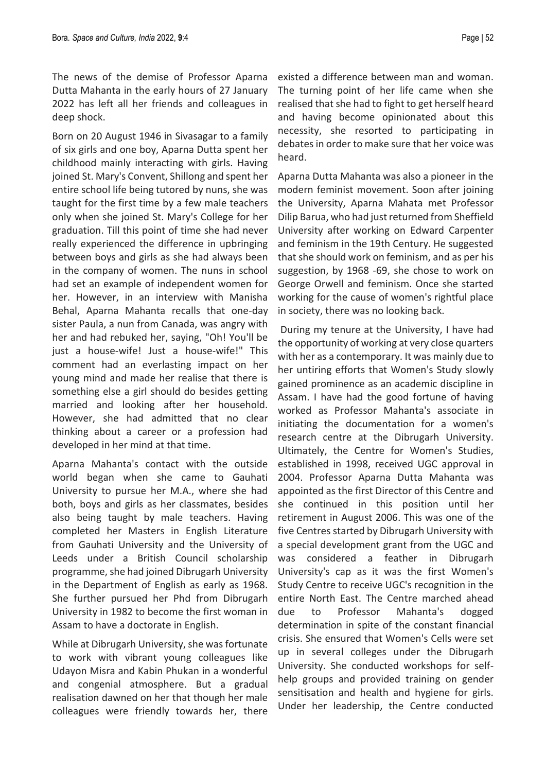The news of the demise of Professor Aparna Dutta Mahanta in the early hours of 27 January 2022 has left all her friends and colleagues in deep shock.

Born on 20 August 1946 in Sivasagar to a family of six girls and one boy, Aparna Dutta spent her childhood mainly interacting with girls. Having joined St. Mary's Convent, Shillong and spent her entire school life being tutored by nuns, she was taught for the first time by a few male teachers only when she joined St. Mary's College for her graduation. Till this point of time she had never really experienced the difference in upbringing between boys and girls as she had always been in the company of women. The nuns in school had set an example of independent women for her. However, in an interview with Manisha Behal, Aparna Mahanta recalls that one-day sister Paula, a nun from Canada, was angry with her and had rebuked her, saying, "Oh! You'll be just a house-wife! Just a house-wife!" This comment had an everlasting impact on her young mind and made her realise that there is something else a girl should do besides getting married and looking after her household. However, she had admitted that no clear thinking about a career or a profession had developed in her mind at that time.

Aparna Mahanta's contact with the outside world began when she came to Gauhati University to pursue her M.A., where she had both, boys and girls as her classmates, besides also being taught by male teachers. Having completed her Masters in English Literature from Gauhati University and the University of Leeds under a British Council scholarship programme, she had joined Dibrugarh University in the Department of English as early as 1968. She further pursued her Phd from Dibrugarh University in 1982 to become the first woman in Assam to have a doctorate in English.

While at Dibrugarh University, she was fortunate to work with vibrant young colleagues like Udayon Misra and Kabin Phukan in a wonderful and congenial atmosphere. But a gradual realisation dawned on her that though her male colleagues were friendly towards her, there

existed a difference between man and woman. The turning point of her life came when she realised that she had to fight to get herself heard and having become opinionated about this necessity, she resorted to participating in debates in order to make sure that her voice was heard.

Aparna Dutta Mahanta was also a pioneer in the modern feminist movement. Soon after joining the University, Aparna Mahata met Professor Dilip Barua, who had just returned from Sheffield University after working on Edward Carpenter and feminism in the 19th Century. He suggested that she should work on feminism, and as per his suggestion, by 1968 -69, she chose to work on George Orwell and feminism. Once she started working for the cause of women's rightful place in society, there was no looking back.

During my tenure at the University, I have had the opportunity of working at very close quarters with her as a contemporary. It was mainly due to her untiring efforts that Women's Study slowly gained prominence as an academic discipline in Assam. I have had the good fortune of having worked as Professor Mahanta's associate in initiating the documentation for a women's research centre at the Dibrugarh University. Ultimately, the Centre for Women's Studies, established in 1998, received UGC approval in 2004. Professor Aparna Dutta Mahanta was appointed as the first Director of this Centre and she continued in this position until her retirement in August 2006. This was one of the five Centres started by Dibrugarh University with a special development grant from the UGC and was considered a feather in Dibrugarh University's cap as it was the first Women's Study Centre to receive UGC's recognition in the entire North East. The Centre marched ahead due to Professor Mahanta's dogged determination in spite of the constant financial crisis. She ensured that Women's Cells were set up in several colleges under the Dibrugarh University. She conducted workshops for selfhelp groups and provided training on gender sensitisation and health and hygiene for girls. Under her leadership, the Centre conducted